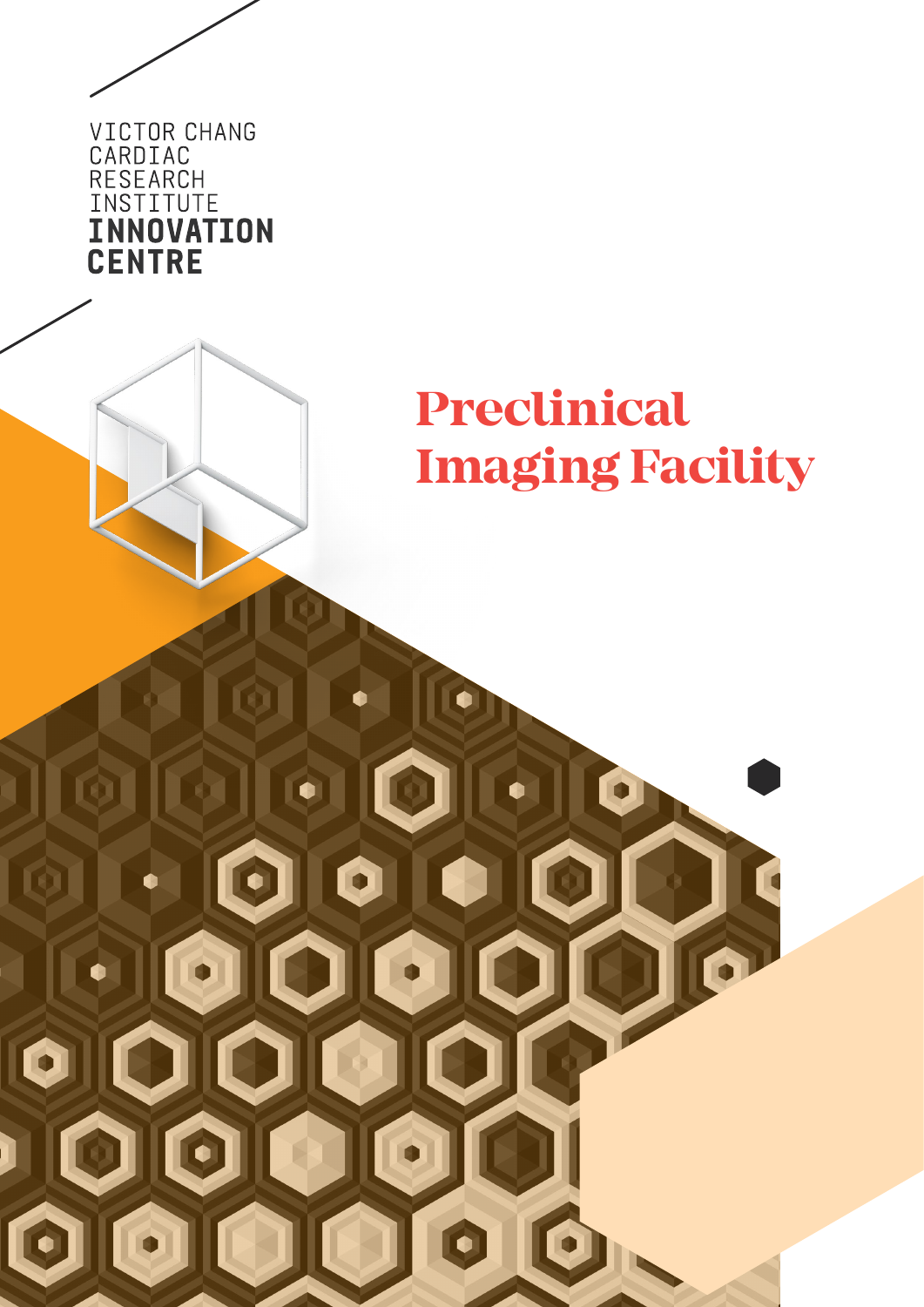

Ó

O

 $\mathbb{R}$ 

 $\bullet$   $\blacksquare$ 

E

 $\bullet$ 

 $|\bullet|$ 

 $|O||$ 

I

 $\blacksquare$ 

Q

 $\bullet$ 

OIOIC

 $\left\vert \bullet \right\vert$ 

J

# **Preclinical Imaging Facility**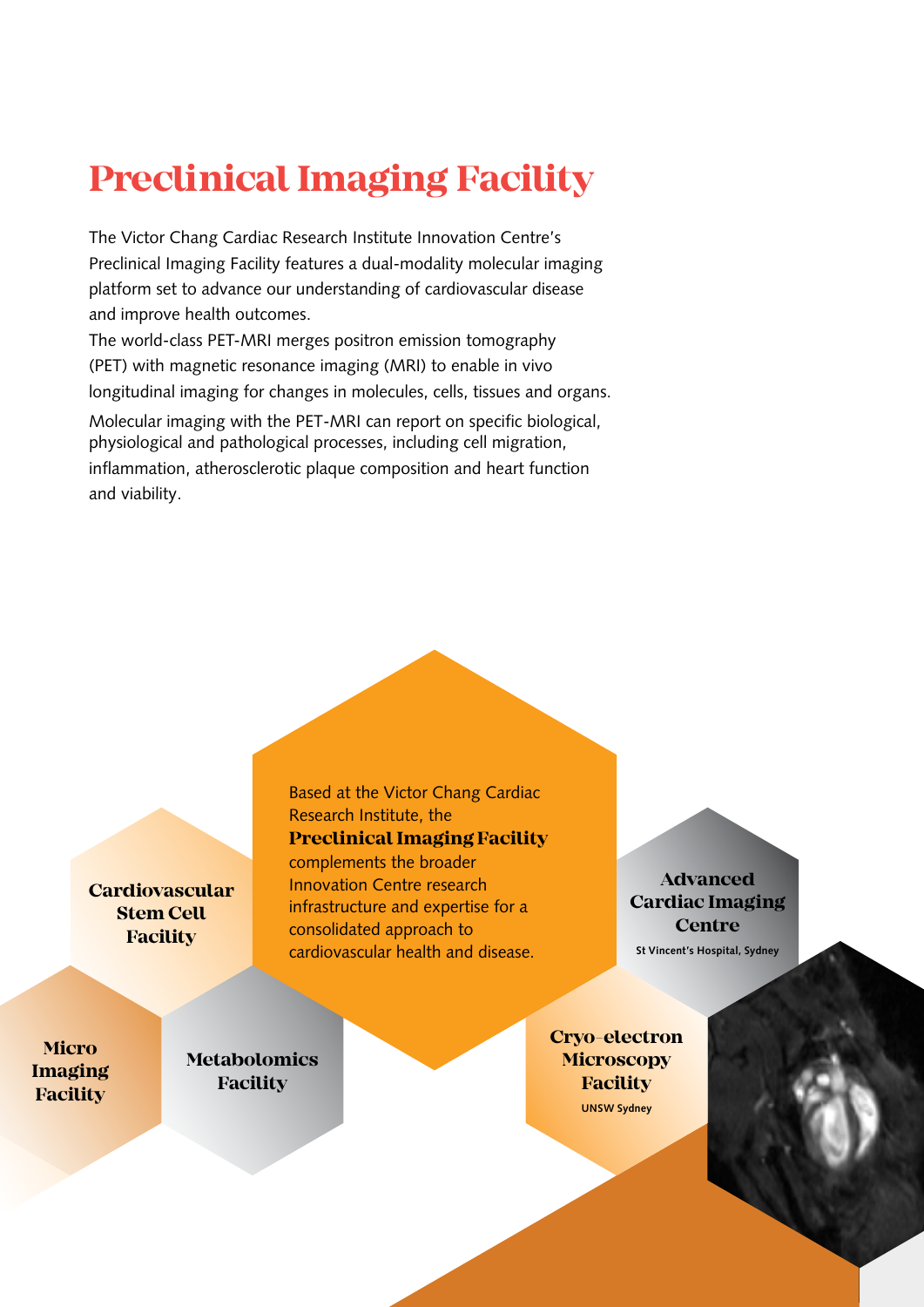## **Preclinical Imaging Facility**

The Victor Chang Cardiac Research Institute Innovation Centre's Preclinical Imaging Facility features a dual-modality molecular imaging platform set to advance our understanding of cardiovascular disease and improve health outcomes.

The world-class PET-MRI merges positron emission tomography (PET) with magnetic resonance imaging (MRI) to enable in vivo longitudinal imaging for changes in molecules, cells, tissues and organs.

Molecular imaging with the PET-MRI can report on specific biological, physiological and pathological processes, including cell migration, inflammation, atherosclerotic plaque composition and heart function and viability.

**Cardiovascular Stem Cell Facility**

**Micro Imaging Facility**

**Metabolomics Facility**

Based at the Victor Chang Cardiac Research Institute, the **Preclinical Imaging Facility** complements the broader Innovation Centre research infrastructure and expertise for a consolidated approach to cardiovascular health and disease.

**Advanced Cardiac Imaging Centre St Vincent's Hospital, Sydney**

**Cryo-electron Microscopy Facility UNSW Sydney**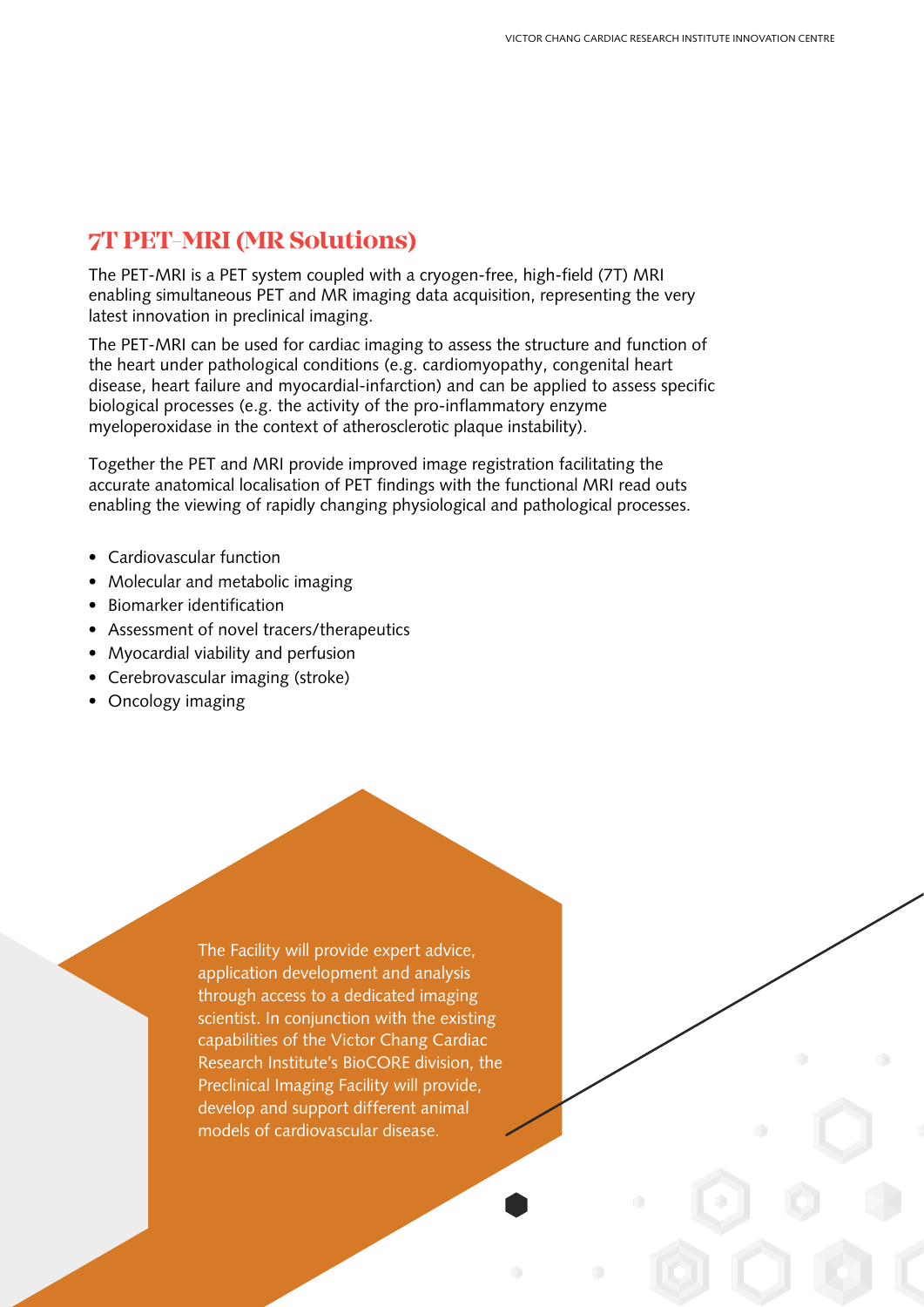### **7T PET-MRI (MR Solutions)**

The PET-MRI is a PET system coupled with a cryogen-free, high-field (7T) MRI enabling simultaneous PET and MR imaging data acquisition, representing the very latest innovation in preclinical imaging.

The PET-MRI can be used for cardiac imaging to assess the structure and function of the heart under pathological conditions (e.g. cardiomyopathy, congenital heart disease, heart failure and myocardial-infarction) and can be applied to assess specific biological processes (e.g. the activity of the pro-inflammatory enzyme myeloperoxidase in the context of atherosclerotic plaque instability).

Together the PET and MRI provide improved image registration facilitating the accurate anatomical localisation of PET findings with the functional MRI read outs enabling the viewing of rapidly changing physiological and pathological processes.

- Cardiovascular function
- Molecular and metabolic imaging
- Biomarker identification
- Assessment of novel tracers/therapeutics
- Myocardial viability and perfusion
- Cerebrovascular imaging (stroke)
- Oncology imaging

The Facility will provide expert advice, application development and analysis through access to a dedicated imaging scientist. In conjunction with the existing capabilities of the Victor Chang Cardiac Research Institute's BioCORE division, the Preclinical Imaging Facility will provide, develop and support different animal models of cardiovascular disease.